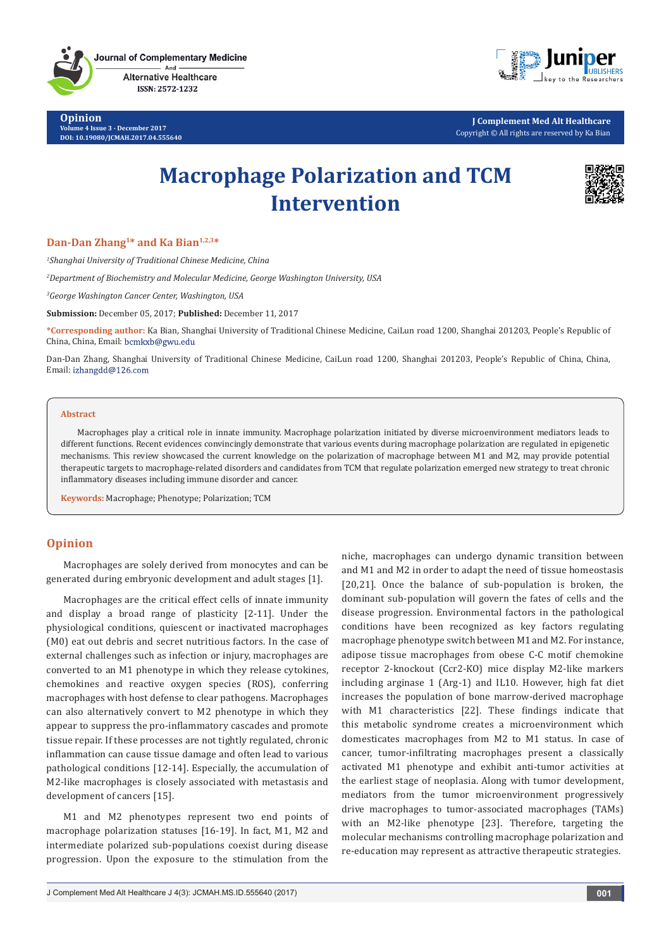**Journal of Complementary Medicine** And

> **Alternative Healthcare** ISSN: 2572-1232

**Opinion Volume 4 Issue 3 - December 2017 DOI: [10.19080/JCMAH.2017.04.555640](http://dx.doi.org/10.19080/JCMAH.2017.04.555640)**



**J Complement Med Alt Healthcare** Copyright © All rights are reserved by Ka Bian

# **Macrophage Polarization and TCM Intervention**



## **Dan-Dan Zhang1\* and Ka Bian1,2,3\***

*1 Shanghai University of Traditional Chinese Medicine, China*

*2 Department of Biochemistry and Molecular Medicine, George Washington University, USA*

*3 George Washington Cancer Center, Washington, USA*

**Submission:** December 05, 2017; **Published:** December 11, 2017

**\*Corresponding author:** Ka Bian, Shanghai University of Traditional Chinese Medicine, CaiLun road 1200, Shanghai 201203, People's Republic of China, China, Email:

Dan-Dan Zhang, Shanghai University of Traditional Chinese Medicine, CaiLun road 1200, Shanghai 201203, People's Republic of China, China, Email: izhangdd@126.com

#### **Abstract**

Macrophages play a critical role in innate immunity. Macrophage polarization initiated by diverse microenvironment mediators leads to different functions. Recent evidences convincingly demonstrate that various events during macrophage polarization are regulated in epigenetic mechanisms. This review showcased the current knowledge on the polarization of macrophage between M1 and M2, may provide potential therapeutic targets to macrophage-related disorders and candidates from TCM that regulate polarization emerged new strategy to treat chronic inflammatory diseases including immune disorder and cancer.

**Keywords:** Macrophage; Phenotype; Polarization; TCM

# **Opinion**

Macrophages are solely derived from monocytes and can be generated during embryonic development and adult stages [1].

Macrophages are the critical effect cells of innate immunity and display a broad range of plasticity [2-11]. Under the physiological conditions, quiescent or inactivated macrophages (M0) eat out debris and secret nutritious factors. In the case of external challenges such as infection or injury, macrophages are converted to an M1 phenotype in which they release cytokines, chemokines and reactive oxygen species (ROS), conferring macrophages with host defense to clear pathogens. Macrophages can also alternatively convert to M2 phenotype in which they appear to suppress the pro-inflammatory cascades and promote tissue repair. If these processes are not tightly regulated, chronic inflammation can cause tissue damage and often lead to various pathological conditions [12-14]. Especially, the accumulation of M2-like macrophages is closely associated with metastasis and development of cancers [15].

M1 and M2 phenotypes represent two end points of macrophage polarization statuses [16-19]. In fact, M1, M2 and intermediate polarized sub-populations coexist during disease progression. Upon the exposure to the stimulation from the

niche, macrophages can undergo dynamic transition between and M1 and M2 in order to adapt the need of tissue homeostasis [20,21]. Once the balance of sub-population is broken, the dominant sub-population will govern the fates of cells and the disease progression. Environmental factors in the pathological conditions have been recognized as key factors regulating macrophage phenotype switch between M1 and M2. For instance, adipose tissue macrophages from obese C-C motif chemokine receptor 2-knockout (Ccr2-KO) mice display M2-like markers including arginase 1 (Arg-1) and IL10. However, high fat diet increases the population of bone marrow-derived macrophage with M1 characteristics [22]. These findings indicate that this metabolic syndrome creates a microenvironment which domesticates macrophages from M2 to M1 status. In case of cancer, tumor-infiltrating macrophages present a classically activated M1 phenotype and exhibit anti-tumor activities at the earliest stage of neoplasia. Along with tumor development, mediators from the tumor microenvironment progressively drive macrophages to tumor-associated macrophages (TAMs) with an M2-like phenotype [23]. Therefore, targeting the molecular mechanisms controlling macrophage polarization and re-education may represent as attractive therapeutic strategies.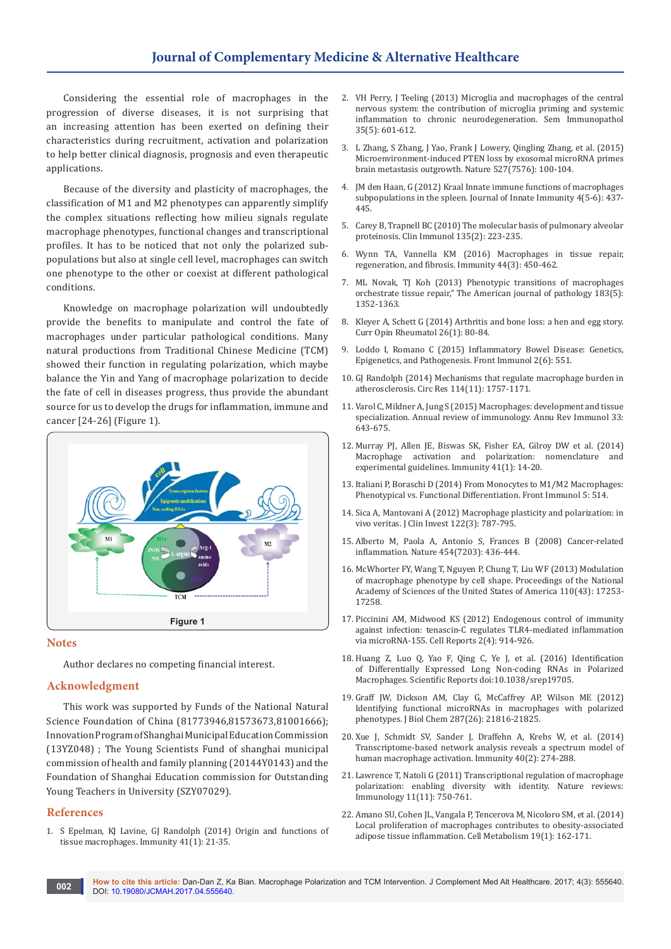Considering the essential role of macrophages in the progression of diverse diseases, it is not surprising that an increasing attention has been exerted on defining their characteristics during recruitment, activation and polarization to help better clinical diagnosis, prognosis and even therapeutic applications.

Because of the diversity and plasticity of macrophages, the classification of M1 and M2 phenotypes can apparently simplify the complex situations reflecting how milieu signals regulate macrophage phenotypes, functional changes and transcriptional profiles. It has to be noticed that not only the polarized subpopulations but also at single cell level, macrophages can switch one phenotype to the other or coexist at different pathological conditions.

Knowledge on macrophage polarization will undoubtedly provide the benefits to manipulate and control the fate of macrophages under particular pathological conditions. Many natural productions from Traditional Chinese Medicine (TCM) showed their function in regulating polarization, which maybe balance the Yin and Yang of macrophage polarization to decide the fate of cell in diseases progress, thus provide the abundant source for us to develop the drugs for inflammation, immune and cancer [24-26] (Figure 1).



### **Notes**

Author declares no competing financial interest.

#### **Acknowledgment**

This work was supported by Funds of the National Natural Science Foundation of China (81773946,81573673,81001666); Innovation Program of Shanghai Municipal Education Commission (13YZ048) ; The Young Scientists Fund of shanghai municipal commission of health and family planning (20144Y0143) and the Foundation of Shanghai Education commission for Outstanding Young Teachers in University (SZY07029).

#### **References**

1. [S Epelman, KJ Lavine, GJ Randolph \(2014\) Origin and functions of](https://www.ncbi.nlm.nih.gov/pubmed/25035951/)  [tissue macrophages. Immunity 41\(1\): 21-35.](https://www.ncbi.nlm.nih.gov/pubmed/25035951/)

- 2. [VH Perry, J Teeling \(2013\) Microglia and macrophages of the central](https://www.ncbi.nlm.nih.gov/pubmed/23732506)  [nervous system: the contribution of microglia priming and systemic](https://www.ncbi.nlm.nih.gov/pubmed/23732506)  [inflammation to chronic neurodegeneration. Sem Immunopathol](https://www.ncbi.nlm.nih.gov/pubmed/23732506)  [35\(5\): 601-612.](https://www.ncbi.nlm.nih.gov/pubmed/23732506)
- 3. [L Zhang, S Zhang, J Yao, Frank J Lowery, Qingling Zhang, et al. \(2015\)](https://www.nature.com/articles/nature15376)  [Microenvironment-induced PTEN loss by exosomal microRNA primes](https://www.nature.com/articles/nature15376)  [brain metastasis outgrowth. Nature 527\(7576\): 100-104.](https://www.nature.com/articles/nature15376)
- 4. JM den Haan, G (2012) Kraal Innate immune functions of macrophages subpopulations in the spleen. Journal of Innate Immunity 4(5-6): 437- 445.
- 5. [Carey B, Trapnell BC \(2010\) The molecular basis of pulmonary alveolar](https://www.ncbi.nlm.nih.gov/pubmed/20338813)  [proteinosis. Clin Immunol 135\(2\): 223-235.](https://www.ncbi.nlm.nih.gov/pubmed/20338813)
- 6. [Wynn TA, Vannella KM \(2016\) Macrophages in tissue repair,](https://www.ncbi.nlm.nih.gov/pubmed/26982353)  [regeneration, and fibrosis. Immunity 44\(3\): 450-462.](https://www.ncbi.nlm.nih.gov/pubmed/26982353)
- 7. [ML Novak, TJ Koh \(2013\) Phenotypic transitions of macrophages](https://www.ncbi.nlm.nih.gov/pubmed/24091222/)  [orchestrate tissue repair," The American journal of pathology 183\(5\):](https://www.ncbi.nlm.nih.gov/pubmed/24091222/)  [1352-1363.](https://www.ncbi.nlm.nih.gov/pubmed/24091222/)
- 8. [Kleyer A, Schett G \(2014\) Arthritis and bone loss: a hen and egg story.](https://www.ncbi.nlm.nih.gov/pubmed/24276089)  [Curr Opin Rheumatol 26\(1\): 80-84.](https://www.ncbi.nlm.nih.gov/pubmed/24276089)
- 9. [Loddo I, Romano C \(2015\) Inflammatory Bowel Disease: Genetics,](https://www.ncbi.nlm.nih.gov/pubmed/26579126/)  [Epigenetics, and Pathogenesis. Front Immunol 2\(6\): 551.](https://www.ncbi.nlm.nih.gov/pubmed/26579126/)
- 10. [GJ Randolph \(2014\) Mechanisms that regulate macrophage burden in](https://www.ncbi.nlm.nih.gov/pubmed/24855200)  [atherosclerosis. Circ Res 114\(11\): 1757-1171.](https://www.ncbi.nlm.nih.gov/pubmed/24855200)
- 11. [Varol C, Mildner A, Jung S \(2015\) Macrophages: development and tissue](https://www.ncbi.nlm.nih.gov/pubmed/25861979)  [specialization. Annual review of immunology. Annu Rev Immunol 33:](https://www.ncbi.nlm.nih.gov/pubmed/25861979)  [643-675.](https://www.ncbi.nlm.nih.gov/pubmed/25861979)
- 12. [Murray PJ, Allen JE, Biswas SK, Fisher EA, Gilroy DW et al. \(2014\)](https://www.ncbi.nlm.nih.gov/pubmed/25035950)  [Macrophage activation and polarization: nomenclature and](https://www.ncbi.nlm.nih.gov/pubmed/25035950)  [experimental guidelines. Immunity 41\(1\): 14-20.](https://www.ncbi.nlm.nih.gov/pubmed/25035950)
- 13. [Italiani P, Boraschi D \(2014\) From Monocytes to M1/M2 Macrophages:](https://www.ncbi.nlm.nih.gov/pubmed/25368618/)  [Phenotypical vs. Functional Differentiation. Front Immunol 5: 514.](https://www.ncbi.nlm.nih.gov/pubmed/25368618/)
- 14. [Sica A, Mantovani A \(2012\) Macrophage plasticity and polarization: in](https://www.ncbi.nlm.nih.gov/pubmed/22378047)  [vivo veritas. J Clin Invest 122\(3\): 787-795.](https://www.ncbi.nlm.nih.gov/pubmed/22378047)
- 15. [Alberto M, Paola A, Antonio S, Frances B \(2008\) Cancer-related](https://www.nature.com/articles/nature07205)  [inflammation. Nature 454\(7203\): 436-444.](https://www.nature.com/articles/nature07205)
- 16. [McWhorter FY, Wang T, Nguyen P, Chung T, Liu WF \(2013\) Modulation](http://www.pnas.org/content/110/43/17253)  [of macrophage phenotype by cell shape. Proceedings of the National](http://www.pnas.org/content/110/43/17253)  [Academy of Sciences of the United States of America 110\(43\): 17253-](http://www.pnas.org/content/110/43/17253) [17258.](http://www.pnas.org/content/110/43/17253)
- 17. [Piccinini AM, Midwood KS \(2012\) Endogenous control of immunity](https://www.ncbi.nlm.nih.gov/pubmed/23084751)  [against infection: tenascin-C regulates TLR4-mediated inflammation](https://www.ncbi.nlm.nih.gov/pubmed/23084751)  [via microRNA-155. Cell Reports 2\(4\): 914-926.](https://www.ncbi.nlm.nih.gov/pubmed/23084751)
- 18. [Huang Z, Luo Q, Yao F, Qing C, Ye J, et al. \(2016\) Identification](https://www.nature.com/articles/srep19705)  [of Differentially Expressed Long Non-coding RNAs in Polarized](https://www.nature.com/articles/srep19705)  [Macrophages. Scientific Reports doi:10.1038/srep19705.](https://www.nature.com/articles/srep19705)
- 19. [Graff JW, Dickson AM, Clay G, McCaffrey AP, Wilson ME \(2012\)](https://www.ncbi.nlm.nih.gov/pubmed/22549785)  [Identifying functional microRNAs in macrophages with polarized](https://www.ncbi.nlm.nih.gov/pubmed/22549785)  [phenotypes. J Biol Chem 287\(26\): 21816-21825.](https://www.ncbi.nlm.nih.gov/pubmed/22549785)
- 20. [Xue J, Schmidt SV, Sander J, Draffehn A, Krebs W, et al. \(2014\)](https://www.ncbi.nlm.nih.gov/pubmed/24530056)  [Transcriptome-based network analysis reveals a spectrum model of](https://www.ncbi.nlm.nih.gov/pubmed/24530056)  [human macrophage activation. Immunity 40\(2\): 274-288.](https://www.ncbi.nlm.nih.gov/pubmed/24530056)
- 21. [Lawrence T, Natoli G \(2011\) Transcriptional regulation of macrophage](https://www.nature.com/articles/nri3088)  [polarization: enabling diversity with identity. Nature reviews:](https://www.nature.com/articles/nri3088)  [Immunology 11\(11\): 750-761.](https://www.nature.com/articles/nri3088)
- 22. [Amano SU, Cohen JL, Vangala P, Tencerova M, Nicoloro SM, et al. \(2014\)](https://www.ncbi.nlm.nih.gov/pubmed/24374218)  [Local proliferation of macrophages contributes to obesity-associated](https://www.ncbi.nlm.nih.gov/pubmed/24374218)  [adipose tissue inflammation. Cell Metabolism 19\(1\): 162-171.](https://www.ncbi.nlm.nih.gov/pubmed/24374218)